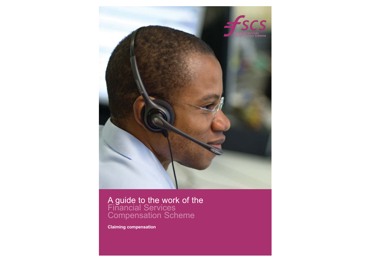

A guide to the work of the<br>Financial Services Compensation Scheme

**Claiming compensation**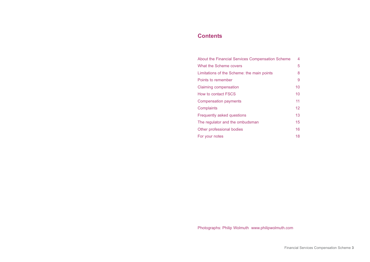### **Contents**

| About the Financial Services Compensation Scheme | 4  |
|--------------------------------------------------|----|
| What the Scheme covers                           | 5  |
| Limitations of the Scheme: the main points       | 8  |
| Points to remember                               | 9  |
| Claiming compensation                            | 10 |
| How to contact FSCS                              | 10 |
| Compensation payments                            | 11 |
| Complaints                                       | 12 |
| Frequently asked questions                       | 13 |
| The regulator and the ombudsman                  | 15 |
| Other professional bodies                        | 16 |
| For your notes                                   | 18 |

Photographs: Philip Wolmuth www.philipwolmuth.com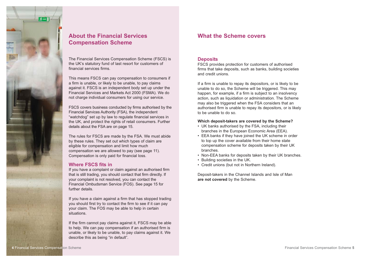

## **About the Financial Services Compensation Scheme**

The Financial Services Compensation Scheme (FSCS) is the UK's statutory fund of last resort for customers of financial services firms.

This means FSCS can pay compensation to consumers if a firm is unable, or likely to be unable, to pay claims against it. FSCS is an independent body set up under the Financial Services and Markets Act 2000 (FSMA). We do not charge individual consumers for using our service.

FSCS covers business conducted by firms authorised by the Financial Services Authority (FSA), the independent "watchdog" set up by law to regulate financial services in the UK, and protect the rights of retail consumers. Further details about the FSA are on page 15.

The rules for FSCS are made by the FSA. We must abide by these rules. They set out which types of claim are eligible for compensation and limit how much compensation we are allowed to pay (see page 11). Compensation is only paid for financial loss.

#### **Where FSCS fits in**

If you have a complaint or claim against an authorised firm that is still trading, you should contact that firm directly. If your complaint is not resolved, you can contact the Financial Ombudsman Service (FOS). See page 15 for further details.

If you have a claim against a firm that has stopped trading you should first try to contact the firm to see if it can pay your claim. The FOS may be able to help in certain situations.

If the firm cannot pay claims against it, FSCS may be able to help. We can pay compensation if an authorised firm is unable, or likely to be unable, to pay claims against it. We describe this as being "in default".

### **What the Scheme covers**

#### **Deposits**

FSCS provides protection for customers of authorised firms that take deposits, such as banks, building societies and credit unions.

If a firm is unable to repay its depositors, or is likely to be unable to do so, the Scheme will be triggered. This may happen, for example, if a firm is subject to an insolvency action, such as liquidation or administration. The Scheme may also be triggered when the FSA considers that an authorised firm is unable to repay its depositors, or is likely to be unable to do so.

#### **Which deposit-takers are covered by the Scheme?**

- UK banks authorised by the FSA, including their branches in the European Economic Area (EEA).
- EEA banks if they have joined the UK scheme in order to top up the cover available from their home state compensation scheme for deposits taken by their UK branches.
- Non-EEA banks for deposits taken by their UK branches.
- Building societies in the UK.
- Credit unions (but not in Northern Ireland).

Deposit-takers in the Channel Islands and Isle of Man **are not covered** by the Scheme.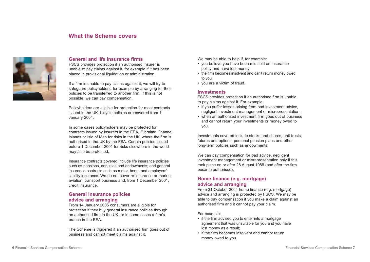### **What the Scheme covers**



#### **General and life insurance firms**

FSCS provides protection if an authorised insurer is unable to pay claims against it, for example if it has been placed in provisional liquidation or administration.

If a firm is unable to pay claims against it, we will try to safeguard policyholders, for example by arranging for their policies to be transferred to another firm. If this is not possible, we can pay compensation.

Policyholders are eligible for protection for most contracts issued in the UK. Lloyd's policies are covered from 1 January 2004.

In some cases policyholders may be protected for contracts issued by insurers in the EEA, Gibraltar, Channel Islands or Isle of Man for risks in the UK, where the firm is authorised in the UK by the FSA. Certain policies issued before 1 December 2001 for risks elsewhere in the world may also be protected.

Insurance contracts covered include life insurance policies such as pensions, annuities and endowments; and general insurance contracts such as motor, home and employers' liability insurance. We do not cover re-insurance or marine, aviation, transport business and, from 1 December 2001, credit insurance.

#### **General insurance policies advice and arranging**

From 14 January 2005 consumers are eligible for protection if they buy general insurance policies through an authorised firm in the UK, or in some cases a firm's branch in the EEA.

The Scheme is triggered if an authorised firm goes out of business and cannot meet claims against it.

We may be able to help if, for example:

- you believe you have been mis-sold an insurance policy and have lost money;
- the firm becomes insolvent and can't return money owed to you;
- you are a victim of fraud.

#### **Investments**

FSCS provides protection if an authorised firm is unable to pay claims against it. For example:

- if you suffer losses arising from bad investment advice, negligent investment management or misrepresentation;
- when an authorised investment firm goes out of business and cannot return your investments or money owed to you.

Investments covered include stocks and shares, unit trusts, futures and options, personal pension plans and other long-term policies such as endowments.

We can pay compensation for bad advice, negligent investment management or misrepresentation only if this took place on or after 28 August 1988 (and after the firm became authorised).

### **Home finance (e.g. mortgage) advice and arranging**

From 31 October 2004 home finance (e.g. mortgage) advice and arranging is protected by FSCS. We may be able to pay compensation if you make a claim against an authorised firm and it cannot pay your claim.

#### For example:

- if the firm advised you to enter into a mortgage agreement that was unsuitable for you and you have lost money as a result;
- if the firm becomes insolvent and cannot return money owed to you.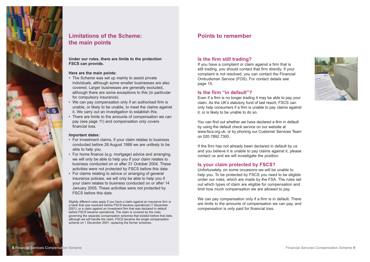

### **Limitations of the Scheme: the main points**

**Under our rules, there are limits to the protection FSCS can provide.** 

#### **Here are the main points:**

- The Scheme was set up mainly to assist private individuals, although some smaller businesses are also covered. Larger businesses are generally excluded, although there are some exceptions to this (in particular for compulsory insurance).
- We can pay compensation only if an authorised firm is unable, or likely to be unable, to meet the claims against it. We carry out an investigation to establish this.
- There are limits to the amounts of compensation we can pay (see page 11) and compensation only covers financial loss.

#### **Important dates:**

- For investment claims, if your claim relates to business conducted before 28 August 1988 we are unlikely to be able to help you.
- For home finance (e.g. mortgage) advice and arranging, we will only be able to help you if your claim relates to business conducted on or after 31 October 2004. These activities were not protected by FSCS before this date.
- For claims relating to advice or arranging of general insurance policies, we will only be able to help you if your claim relates to business conducted on or after 14 January 2005. These activities were not protected by FSCS before this date.

Slightly different rules apply if you have a claim against an insurance firm or a bank that was insolvent before FSCS became operational (1 December 2001), or a claim against an investment firm that was declared in default before FSCS became operational. The claim is covered by the rules governing the separate compensation schemes that existed before that date, although we will handle the claim. FSCS became the single compensation scheme on 1 December 2001, replacing the former schemes.

### **Points to remember**

### **Is the firm still trading?**

If you have a complaint or claim against a firm that is still trading, you should contact that firm directly. If your complaint is not resolved, you can contact the Financial Ombudsman Service (FOS). For contact details see page 15.

### **Is the firm "in default"?**

Even if a firm is no longer trading it may be able to pay your claim. As the UK's statutory fund of last resort, FSCS can only help consumers if a firm is unable to pay claims against it, or is likely to be unable to do so.

You can find out whether we have declared a firm in default by using the default check service on our website at www.fscs.org.uk, or by phoning our Customer Services Team on 020 7892 7300.

If the firm has not already been declared in default by us and you believe it is unable to pay claims against it, please contact us and we will investigate the position.

### **Is your claim protected by FSCS?**

Unfortunately, on some occasions we will be unable to help you. To be protected by FSCS you need to be eligible under our rules, which are made by the FSA. The rules set out which types of claim are eligible for compensation and limit how much compensation we are allowed to pay.

We can pay compensation only if a firm is in default. There are limits to the amounts of compensation we can pay, and compensation is only paid for financial loss.



**8** Financial Services Compensation Scheme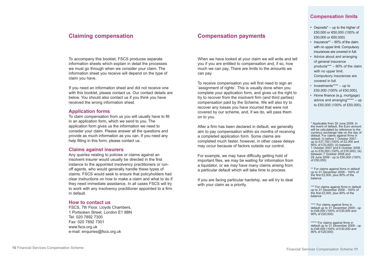To accompany this booklet, FSCS produces separate information sheets which explain in detail the processes we must go through when we consider your claim. The information sheet you receive will depend on the type of claim you have.

If you need an information sheet and did not receive one with this booklet, please contact us. Our contact details are below. You should also contact us if you think you have received the wrong information sheet.

#### **Application forms**

To claim compensation from us you will usually have to fill in an application form, which we send to you. The application form gives us the information we need to consider your claim. Please answer all the questions and provide as much information as you can. If you need any help filling in this form, please contact us.

#### **Claims against insurers**

Any queries relating to policies or claims against an insolvent insurer would usually be directed in the first instance to the appointed insolvency practitioners or runoff agents, who would generally handle these types of claims. FSCS would seek to ensure that policyholders had clear instructions on how to make a claim and what to do if they need immediate assistance. In all cases FSCS will try to work with any insolvency practitioner appointed to a firm in default.

#### **How to contact us**

FSCS, 7th Floor, Lloyds Chambers, 1 Portsoken Street, London E1 8BN Tel: 020 7892 7300 Fax: 020 7892 7301 www.fscs.org.uk e-mail: enquiries@fscs.org.uk

### **Claiming compensation Compensation payments**

When we have looked at your claim we will write and tell you if you are entitled to compensation and, if so, how much we can pay. There are limits to the amounts we can pay.

To receive compensation you will first need to sign an 'assignment of rights'. This is usually done when you complete your application form, and gives us the right to try to recover from the insolvent firm (and third parties) compensation paid by the Scheme. We will also try to recover any losses you have incurred that were not covered by our scheme, and, if we do, will pass them on to you.

After a firm has been declared in default, we generally aim to pay compensation within six months of receiving a completed application form. Some claims are completed much faster, however, in other cases delays may occur because of factors outside our control.

For example, we may have difficulty getting hold of important files, we may be waiting for information from a liquidator, or we may have many claims arising from a particular default which will take time to process.

If you are facing particular hardship, we will try to deal with your claim as a priority.

# **Compensation limits**

- Deposits\* up to the higher of £50,000 or €50,000 (100% of £50,000 or €50,000)
- Insurance\*\* 90% of the claim with no upper limit. Compulsory insurances are covered in full.
- Advice about and arranging of general insurance products\*\*\* – 90% of the claim with no upper limit. Compulsory insurances are covered in full.
- Investments\*\*\*\* up to £50,000 (100% of £50,000).
- Home finance (e.g. mortgage) advice and arranging\*\*\*\*\* – up to £50,000 (100% of £50,000).

\* Applicable from 30 June 2009. In the event of default, the Euro amount will be calculated by reference to the currency exchange rate on the day of default. For claims against firms in default: (i) before 1 October 2007 up to £31,700 (100% of £2,000 and 90% of £33,000); (ii) between 1 October 2007 and 6 October 2008 up to £35,000 (100% of £35,000); (iii) between 7 October 2008 and 29 June 2009 - up to £50,000 (100% of £50,000)

\*\* For claims against firms in default up to 31 December 2009 - 100% of the first £2,000, plus 90% of the balance

\*\*\* For claims against firms in default up to 31 December 2009 - 100% of the first £2,000, plus 90% of the balance

\*\*\*\* For claims against firms in default up to 31 December 2009 - up to £48,000 (100% of £30,000 and 90% of £20,000)

\*\*\*\*\* For claims against firms in default up to 31 December 2009 - up to £48,000 (100% of £30,000 and 90% of £20,000)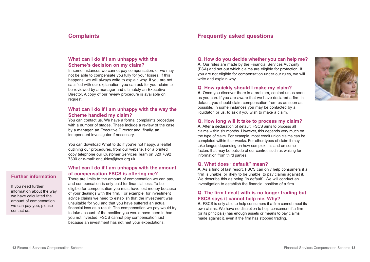### **Complaints**

### **What can I do if I am unhappy with the Scheme's decision on my claim?**

In some instances we cannot pay compensation, or we may not be able to compensate you fully for your losses. If this happens, we will always write to explain why. If you are not satisfied with our explanation, you can ask for your claim to be reviewed by a manager and ultimately an Executive Director. A copy of our review procedure is available on request.

### **What can I do if I am unhappy with the way the Scheme handled my claim?**

You can contact us. We have a formal complaints procedure with a number of stages. These include a review of the case by a manager, an Executive Director and, finally, an independent investigator if necessary.

You can download What to do if you're not happy, a leaflet outlining our procedures, from our website. For a printed copy telephone our Customer Services Team on 020 7892 7300 or e-mail: enquiries@fscs.org.uk.

### **What can I do if I am unhappy with the amount of compensation FSCS is offering me?**

There are limits to the amount of compensation we can pay, and compensation is only paid for financial loss. To be eligible for compensation you must have lost money because of your dealings with the firm. For example, for investment advice claims we need to establish that the investment was unsuitable for you and that you have suffered an actual financial loss as a result. The compensation we pay would try to take account of the position you would have been in had you not invested. FSCS cannot pay compensation just because an investment has not met your expectations.

### **Frequently asked questions**

#### **Q. How do you decide whether you can help me?**

**A.** Our rules are made by the Financial Services Authority (FSA) and set out which claims are eligible for protection. If you are not eligible for compensation under our rules, we will write and explain why.

#### **Q. How quickly should I make my claim?**

**A.** Once you discover there is a problem, contact us as soon as you can. If you are aware that we have declared a firm in default, you should claim compensation from us as soon as possible. In some instances you may be contacted by a liquidator, or us, to ask if you wish to make a claim.



#### **Q. How long will it take to process my claim?**

**A.** After a declaration of default, FSCS aims to process all claims within six months. However, this depends very much on the type of claim. For example, most credit union claims can be completed within four weeks. For other types of claim it may take longer, depending on how complex it is and on some factors that may be outside of our control, such as waiting for information from third parties.

#### **Q. What does "default" mean?**

**A.** As a fund of last resort, FSCS can only help consumers if a firm is unable, or likely to be unable, to pay claims against it. We describe this as being "in default". We will conduct an investigation to establish the financial position of a firm.

### **Q. The firm I dealt with is no longer trading but FSCS says it cannot help me. Why?**

**A.** FSCS is only able to help consumers if a firm cannot meet its own claims. We have no discretion to help consumers if a firm (or its principals) has enough assets or means to pay claims made against it, even if the firm has stopped trading.

### **Further information**

If you need further information about the way we have calculated the amount of compensation we can pay you, please contact us.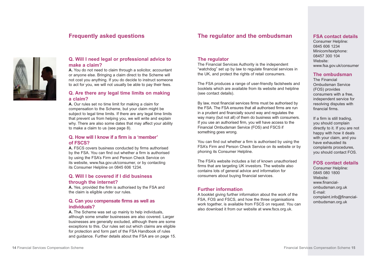### **Frequently asked questions**





#### **Q. Will I need legal or professional advice to make a claim?**

**A.** You do not need to claim through a solicitor, accountant or anyone else. Bringing a claim direct to the Scheme will not cost you anything. If you do decide to instruct someone to act for you, we will not usually be able to pay their fees.

### **Q. Are there any legal time limits on making a claim?**

**A.** Our rules set no time limit for making a claim for compensation to the Scheme, but your claim might be subject to legal time limits. If there are any legal time limits that prevent us from helping you, we will write and explain why. There are also some dates that may affect your ability to make a claim to us (see page 8).

### **Q. How will I know if a firm is a 'member' of FSCS?**

**A.** FSCS covers business conducted by firms authorised by the FSA. You can find out whether a firm is authorised by using the FSA's Firm and Person Check Service on its website, www.fsa.gov.uk/consumer, or by contacting its Consumer Helpline on 0845 606 1234.

### **Q. Will I be covered if I did business through the internet?**

**A.** Yes, provided the firm is authorised by the FSA and the claim is eligible under our rules.

### **Q. Can you compensate firms as well as individuals?**

**A.** The Scheme was set up mainly to help individuals, although some smaller businesses are also covered. Larger businesses are generally excluded, although there are some exceptions to this. Our rules set out which claims are eligible for protection and form part of the FSA Handbook of rules and guidance. Further details about the FSA are on page 15.

#### **The regulator**

The Financial Services Authority is the independent "watchdog" set up by law to regulate financial services in the UK, and protect the rights of retail consumers.

The FSA produces a range of user-friendly factsheets and booklets which are available from its website and helpline (see contact details).

By law, most financial services firms must be authorised by the FSA. The FSA ensures that all authorised firms are run in a prudent and financially sound way and regulates the way many (but not all) of them do business with consumers. If you use an authorised firm, you will have access to the Financial Ombudsman Service (FOS) and FSCS if something goes wrong.

You can find out whether a firm is authorised by using the FSA's Firm and Person Check Service on its website or by phoning its Consumer Helpline.

The FSA's website includes a list of known unauthorised firms that are targeting UK investors. The website also contains lots of general advice and information for consumers about buying financial services.

### **Further information**

A booklet giving further information about the work of the FSA, FOS and FSCS, and how the three organisations work together, is available from FSCS on request. You can also download it from our website at www.fscs.org.uk.

### **FSA contact details**

Consumer Helpline: 0845 606 1234 Minicom/textphone: 08457 300 104 Website: www.fsa.gov.uk/consumer

#### **The ombudsman**

The Financial Ombudsman Service (FOS) provides consumers with a free, independent service for resolving disputes with financial firms.

If a firm is still trading, you should complain directly to it. If you are not happy with how it deals with your claim, and you have exhausted its complaints procedures, you should contact FOS.

### **FOS contact details**

Consumer Helpline: 0845 080 1800 Website: www.financialombudsman.org.uk E-mail: complaint.info@financialombudsman.org.uk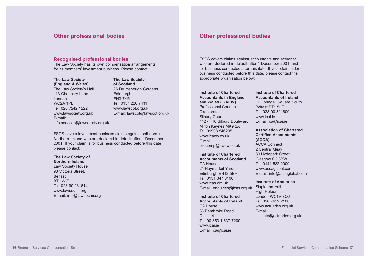### **Other professional bodies**

#### **Recognised professional bodies**

The Law Society has its own compensation arrangements for its members' investment business. Please contact:

**The Law Society (England & Wales)** The Law Society's Hall 113 Chancery Lane London WC2A 1PL Tel: 020 7242 1222 www.lawsociety.org.uk E-mail: info.services@lawsociety.org.uk **The Law Society of Scotland** 26 Drumsheugh Gardens **Edinburgh** EH3 7YR Tel: 0131 226 7411 www.lawscot.org.uk E-mail: lawscot@lawscot.org.uk

FSCS covers investment business claims against solicitors in Northern Ireland who are declared in default after 1 December 2001. If your claim is for business conducted before this date please contact:

**The Law Society of Northern Ireland** Law Society House 98 Victoria Street, Belfast BT1 3JZ Tel: 028 90 231614 www.lawsoc-ni.org E-mail: info@lawsoc-ni.org

### **Other professional bodies**

FSCS covers claims against accountants and actuaries who are declared in default after 1 December 2001, and for business conducted after this date. If your claim is for business conducted before this date, please contact the appropriate organisation below:

#### **Institute of Chartered Accountants in England and Wales (ICAEW)** Professional Conduct

**Directorate** Silbury Court, 412 - 416 Silbury Boulevard, Milton Keynes MK9 2AF Tel: 01908 546235 www.icaew.co.uk E-mail: psocomp@icaew.co.uk

**Institute of Chartered Accountants of Scotland** CA House 21 Haymarket Yards Edinburgh EH12 5BH Tel: 0131 347 0100 www.icas.org.uk E-mail: enquiries@icas.org.uk

**Institute of Chartered Accountants of Ireland** CA House 83 Pembroke Road Dublin 4

### Tel: 00 353 1 637 7200 www.icai.ie E-mail: ca@icai.ie

#### **Institute of Chartered Accountants of Ireland**

11 Donegall Square South Belfast BT1 5JE Tel: 028 90 321600 www.icai.ie E-mail: ca@icai.ie

#### **Association of Chartered Certified Accountants (ACCA)**

ACCA Connect 2 Central Quay 89 Hydepark Street Glasgow G3 8BW Tel: 0141 582 2000 www.accaglobal.com E-mail: info@accaglobal.com

#### **Institute of Actuaries**

Staple Inn Hall High Holborn London WC1V 7QJ Tel: 020 7632 2100 www.actuaries.org.uk E-mail: institute@actuaries.org.uk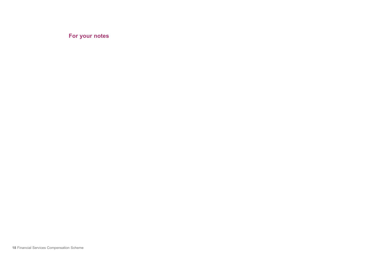**For your notes**